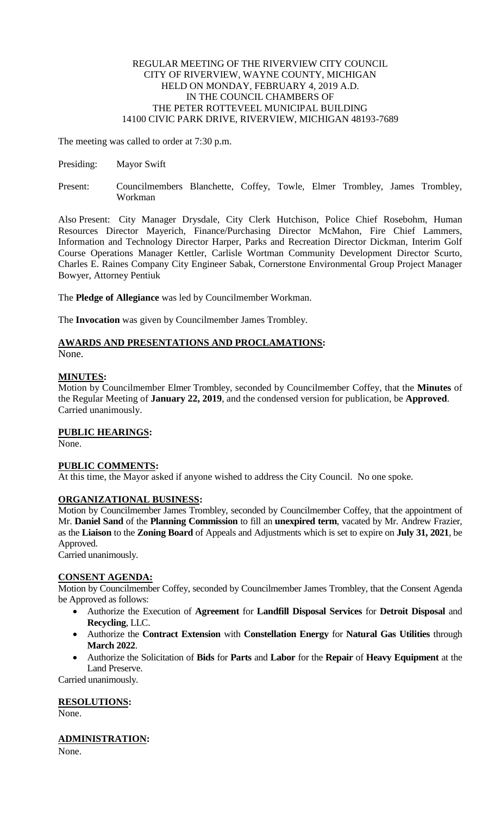#### REGULAR MEETING OF THE RIVERVIEW CITY COUNCIL CITY OF RIVERVIEW, WAYNE COUNTY, MICHIGAN HELD ON MONDAY, FEBRUARY 4, 2019 A.D. IN THE COUNCIL CHAMBERS OF THE PETER ROTTEVEEL MUNICIPAL BUILDING 14100 CIVIC PARK DRIVE, RIVERVIEW, MICHIGAN 48193-7689

The meeting was called to order at 7:30 p.m.

- Presiding: Mayor Swift
- Present: Councilmembers Blanchette, Coffey, Towle, Elmer Trombley, James Trombley, Workman

Also Present: City Manager Drysdale, City Clerk Hutchison, Police Chief Rosebohm, Human Resources Director Mayerich, Finance/Purchasing Director McMahon, Fire Chief Lammers, Information and Technology Director Harper, Parks and Recreation Director Dickman, Interim Golf Course Operations Manager Kettler, Carlisle Wortman Community Development Director Scurto, Charles E. Raines Company City Engineer Sabak, Cornerstone Environmental Group Project Manager Bowyer, Attorney Pentiuk

The **Pledge of Allegiance** was led by Councilmember Workman.

The **Invocation** was given by Councilmember James Trombley.

# **AWARDS AND PRESENTATIONS AND PROCLAMATIONS:**

None.

## **MINUTES:**

Motion by Councilmember Elmer Trombley, seconded by Councilmember Coffey, that the **Minutes** of the Regular Meeting of **January 22, 2019**, and the condensed version for publication, be **Approved**. Carried unanimously.

## **PUBLIC HEARINGS:**

None.

## **PUBLIC COMMENTS:**

At this time, the Mayor asked if anyone wished to address the City Council. No one spoke.

## **ORGANIZATIONAL BUSINESS:**

Motion by Councilmember James Trombley, seconded by Councilmember Coffey, that the appointment of Mr. **Daniel Sand** of the **Planning Commission** to fill an **unexpired term**, vacated by Mr. Andrew Frazier, as the **Liaison** to the **Zoning Board** of Appeals and Adjustments which is set to expire on **July 31, 2021**, be Approved.

Carried unanimously.

## **CONSENT AGENDA:**

Motion by Councilmember Coffey, seconded by Councilmember James Trombley, that the Consent Agenda be Approved as follows:

- Authorize the Execution of **Agreement** for **Landfill Disposal Services** for **Detroit Disposal** and **Recycling**, LLC.
- Authorize the **Contract Extension** with **Constellation Energy** for **Natural Gas Utilities** through **March 2022**.
- Authorize the Solicitation of **Bids** for **Parts** and **Labor** for the **Repair** of **Heavy Equipment** at the Land Preserve.

Carried unanimously.

## **RESOLUTIONS:**

None.

## **ADMINISTRATION:**

None.